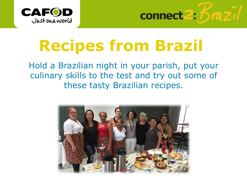



# **Recipes from Brazil**

Hold a Brazilian night in your parish, put your culinary skills to the test and try out some of these tasty Brazilian recipes.

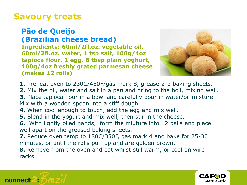## **Savoury treats**

#### **Pão de Queijo (Brazilian cheese bread) Ingredients: 60ml/2fl.oz. vegetable oil, 60ml[/2fl.oz. water, 1 tsp salt, 100g/4oz](http://www.google.co.uk/url?sa=i&rct=j&q=&esrc=s&frm=1&source=images&cd=&cad=rja&uact=8&docid=G75V-S-mPxtf-M&tbnid=GSAgO3WrcwM-sM:&ved=0CAUQjRw&url=http%3A%2F%2Fwww.ideiadechef.com%2Freceita%2Fpao-de-queijo%2F&ei=W3ZfU_zJCcG00QXG9oD4DQ&bvm=bv.65397613,d.ZWU&psig=AFQjCNE8mdyOivCQFzbh0f-xO2-faloYjw&ust=1398851538181427)  tapioca flour, 1 egg, 6 tbsp plain yoghurt, 100g/4oz freshly grated parmesan cheese (makes 12 rolls)**



- **1.** Preheat oven to 230C/450F/gas mark 8, grease 2-3 baking sheets.
- **2.** Mix the oil, water and salt in a pan and bring to the boil, mixing well.
- **3.** Place tapioca flour in a bowl and carefully pour in water/oil mixture. Mix with a wooden spoon into a stiff dough.
- **4.** When cool enough to touch, add the egg and mix well.
- **5.** Blend in the yogurt and mix well, then stir in the cheese.
- **6.** With lightly oiled hands, form the mixture into 12 balls and place well apart on the greased baking sheets.
- **7.** Reduce oven temp to 180C/350F, gas mark 4 and bake for 25-30 minutes, or until the rolls puff up and are golden brown.
- **8.** Remove from the oven and eat whilst still warm, or cool on wire racks.



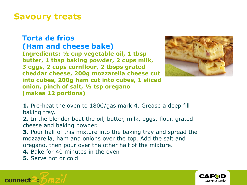## **Savoury treats**

#### **Torta de frios (Ham and cheese bake)**

**Ingredients: ½ cup vegetable oil, 1 tbsp butter, 1 tbsp baking powder, 2 cups milk, 3 eggs, 2 cups cornflour, 2 tbsps grated cheddar cheese, 200g mozzarella cheese cut into cubes, 200g ham cut into cubes, 1 sliced onion, pinch of salt, ½ tsp oregano (makes 12 portions)**



**1.** Pre-heat the oven to 180C/gas mark 4. Grease a deep fill baking tray.

**2.** In the blender beat the oil, butter, milk, eggs, flour, grated cheese and baking powder.

**3.** Pour half of this mixture into the baking tray and spread the mozzarella, ham and onions over the top. Add the salt and oregano, then pour over the other half of the mixture.

**4.** Bake for 40 minutes in the oven

**5.** Serve hot or cold



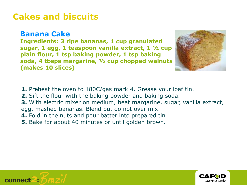# **Cakes and biscuits**

#### **Banana Cake**

**Ingredients: 3 ripe bananas, 1 cup granulated sugar, 1 egg, 1 teaspoon vanilla extract, 1 ½ cup plain flour, 1 tsp baking powder, 1 tsp baking soda, 4 tbsps margarine, ½ cup chopped walnuts (makes 10 slices)**



- **1.** Preheat the oven to 180C/gas mark 4. Grease your loaf tin.
- **2.** Sift the flour with the baking powder and baking soda.
- **3.** With electric mixer on medium, beat margarine, sugar, vanilla extract,
- egg, mashed bananas. Blend but do not over mix.
- **4.** Fold in the nuts and pour batter into prepared tin.
- **5.** Bake for about 40 minutes or until golden brown.



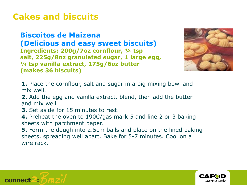# **Cakes and biscuits**

**Biscoitos de Maizena (Delicious and easy sweet biscuits) Ingredients: 200g/7oz cornflour, ¼ tsp salt, 225g/8oz granulated sugar, 1 large egg, ¼ tsp vanilla extract, 175g/6oz butter (makes 36 biscuits)**



- **1.** Place the cornflour, salt and sugar in a big mixing bowl and mix well.
- **2.** Add the egg and vanilla extract, blend, then add the butter and mix well.
- **3.** Set aside for 15 minutes to rest.
- **4.** Preheat the oven to 190C/gas mark 5 and line 2 or 3 baking sheets with parchment paper.
- **5.** Form the dough into 2.5cm balls and place on the lined baking sheets, spreading well apart. Bake for 5-7 minutes. Cool on a wire rack.



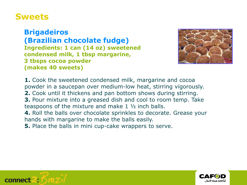## **Sweets**

**Brigadeiros (Brazilian chocolate fudge) Ingredients: 1 can (14 oz) sweetened condensed milk, 1 tbsp margarine, 3 tbsps cocoa powder (makes 40 sweets)**



**1.** Cook the sweetened condensed milk, margarine and cocoa powder in a saucepan over medium-low heat, stirring vigorously. **2.** Cook until it thickens and pan bottom shows during stirring. **3.** Pour mixture into a greased dish and cool to room temp. Take teaspoons of the mixture and make 1 ½ inch balls. **4.** Roll the balls over chocolate sprinkles to decorate. Grease your hands with margarine to make the balls easily. **5.** Place the balls in mini cup-cake wrappers to serve.



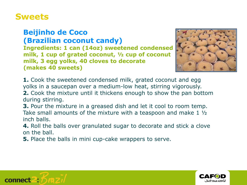## **Sweets**

#### **Beijinho de Coco (Brazilian coconut candy)**

**Ingredients: 1 can (14oz) sweetened condensed milk, 1 cup of grated coconut, ½ cup of coconut milk, 3 egg yolks, 40 cloves to decorate (makes 40 sweets)**



**1.** Cook the sweetened condensed milk, grated coconut and egg yolks in a saucepan over a medium-low heat, stirring vigorously. **2.** Cook the mixture until it thickens enough to show the pan bottom during stirring.

**3.** Pour the mixture in a greased dish and let it cool to room temp. Take small amounts of the mixture with a teaspoon and make 1 ½ inch balls.

**4.** Roll the balls over granulated sugar to decorate and stick a clove on the ball.

**5.** Place the balls in mini cup-cake wrappers to serve.